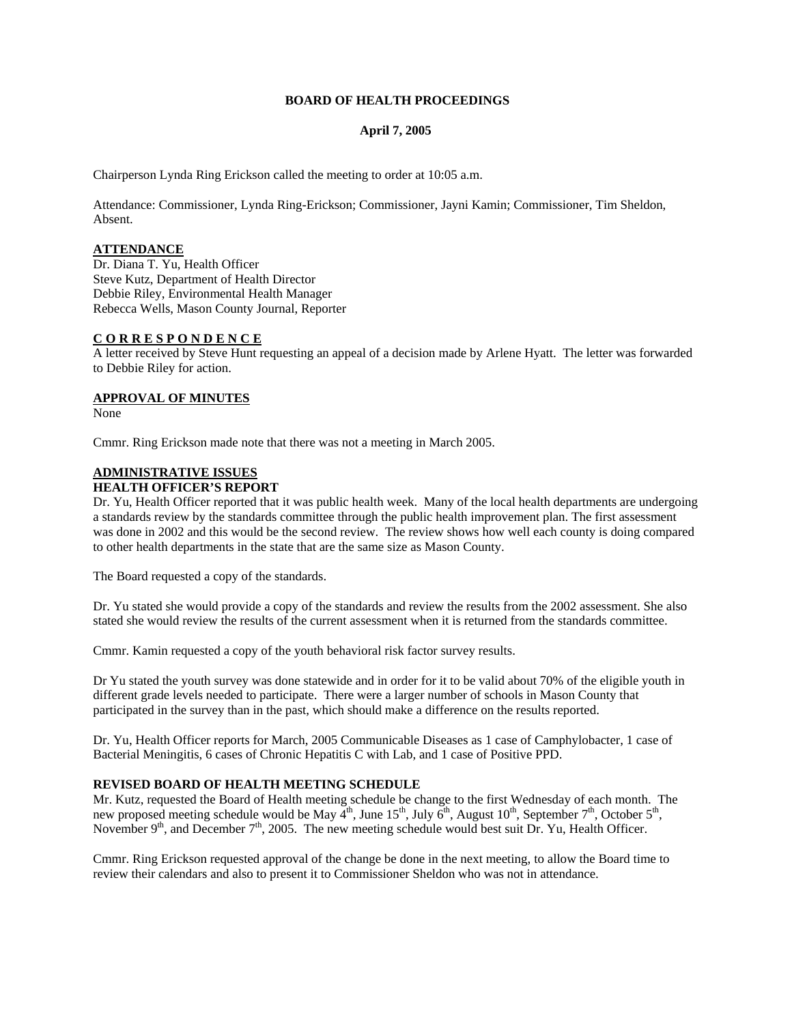### **BOARD OF HEALTH PROCEEDINGS**

#### **April 7, 2005**

Chairperson Lynda Ring Erickson called the meeting to order at 10:05 a.m.

Attendance: Commissioner, Lynda Ring-Erickson; Commissioner, Jayni Kamin; Commissioner, Tim Sheldon, Absent.

### **ATTENDANCE**

Dr. Diana T. Yu, Health Officer Steve Kutz, Department of Health Director Debbie Riley, Environmental Health Manager Rebecca Wells, Mason County Journal, Reporter

### **C O R R E S P O N D E N C E**

A letter received by Steve Hunt requesting an appeal of a decision made by Arlene Hyatt. The letter was forwarded to Debbie Riley for action.

### **APPROVAL OF MINUTES**

None

Cmmr. Ring Erickson made note that there was not a meeting in March 2005.

#### **ADMINISTRATIVE ISSUES HEALTH OFFICER'S REPORT**

Dr. Yu, Health Officer reported that it was public health week. Many of the local health departments are undergoing a standards review by the standards committee through the public health improvement plan. The first assessment was done in 2002 and this would be the second review. The review shows how well each county is doing compared to other health departments in the state that are the same size as Mason County.

The Board requested a copy of the standards.

Dr. Yu stated she would provide a copy of the standards and review the results from the 2002 assessment. She also stated she would review the results of the current assessment when it is returned from the standards committee.

Cmmr. Kamin requested a copy of the youth behavioral risk factor survey results.

Dr Yu stated the youth survey was done statewide and in order for it to be valid about 70% of the eligible youth in different grade levels needed to participate. There were a larger number of schools in Mason County that participated in the survey than in the past, which should make a difference on the results reported.

Dr. Yu, Health Officer reports for March, 2005 Communicable Diseases as 1 case of Camphylobacter, 1 case of Bacterial Meningitis, 6 cases of Chronic Hepatitis C with Lab, and 1 case of Positive PPD.

# **REVISED BOARD OF HEALTH MEETING SCHEDULE**

Mr. Kutz, requested the Board of Health meeting schedule be change to the first Wednesday of each month. The new proposed meeting schedule would be May 4<sup>th</sup>, June 15<sup>th</sup>, July 6<sup>th</sup>, August 10<sup>th</sup>, September 7<sup>th</sup>, October 5<sup>th</sup>, November  $9<sup>th</sup>$ , and December  $7<sup>th</sup>$ , 2005. The new meeting schedule would best suit Dr. Yu, Health Officer.

Cmmr. Ring Erickson requested approval of the change be done in the next meeting, to allow the Board time to review their calendars and also to present it to Commissioner Sheldon who was not in attendance.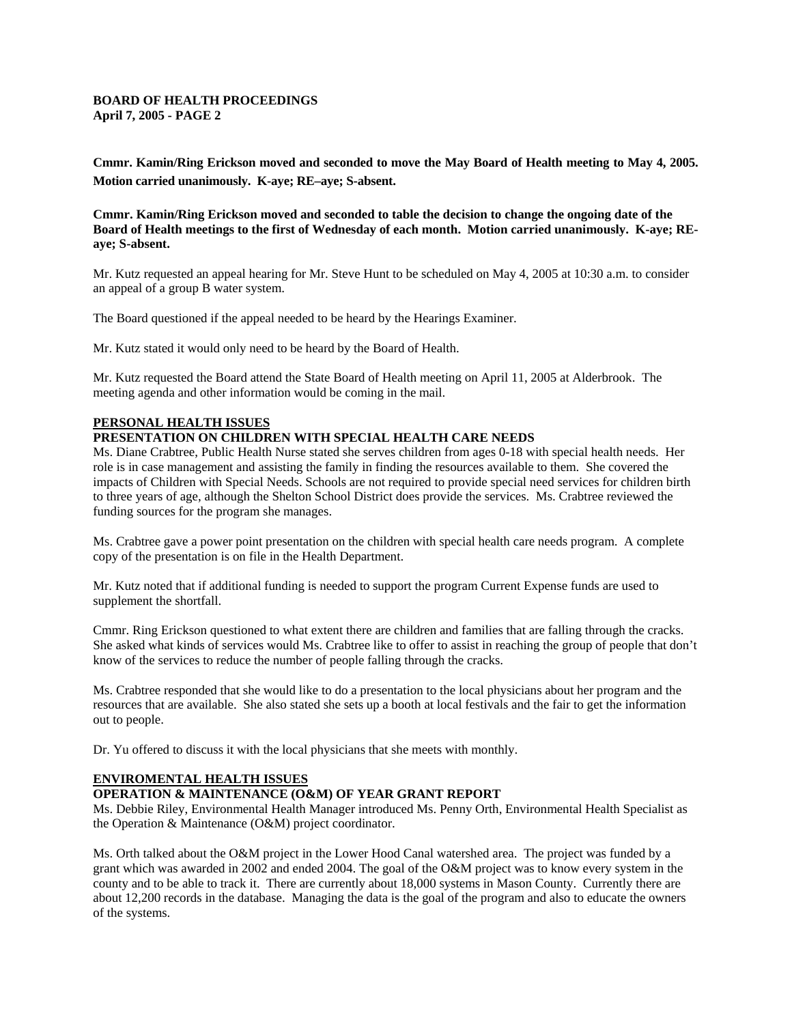# **BOARD OF HEALTH PROCEEDINGS April 7, 2005 - PAGE 2**

**Cmmr. Kamin/Ring Erickson moved and seconded to move the May Board of Health meeting to May 4, 2005. Motion carried unanimously. K-aye; RE–aye; S-absent.** 

**Cmmr. Kamin/Ring Erickson moved and seconded to table the decision to change the ongoing date of the Board of Health meetings to the first of Wednesday of each month. Motion carried unanimously. K-aye; REaye; S-absent.** 

Mr. Kutz requested an appeal hearing for Mr. Steve Hunt to be scheduled on May 4, 2005 at 10:30 a.m. to consider an appeal of a group B water system.

The Board questioned if the appeal needed to be heard by the Hearings Examiner.

Mr. Kutz stated it would only need to be heard by the Board of Health.

Mr. Kutz requested the Board attend the State Board of Health meeting on April 11, 2005 at Alderbrook. The meeting agenda and other information would be coming in the mail.

### **PERSONAL HEALTH ISSUES**

### **PRESENTATION ON CHILDREN WITH SPECIAL HEALTH CARE NEEDS**

Ms. Diane Crabtree, Public Health Nurse stated she serves children from ages 0-18 with special health needs. Her role is in case management and assisting the family in finding the resources available to them. She covered the impacts of Children with Special Needs. Schools are not required to provide special need services for children birth to three years of age, although the Shelton School District does provide the services. Ms. Crabtree reviewed the funding sources for the program she manages.

Ms. Crabtree gave a power point presentation on the children with special health care needs program. A complete copy of the presentation is on file in the Health Department.

Mr. Kutz noted that if additional funding is needed to support the program Current Expense funds are used to supplement the shortfall.

Cmmr. Ring Erickson questioned to what extent there are children and families that are falling through the cracks. She asked what kinds of services would Ms. Crabtree like to offer to assist in reaching the group of people that don't know of the services to reduce the number of people falling through the cracks.

Ms. Crabtree responded that she would like to do a presentation to the local physicians about her program and the resources that are available. She also stated she sets up a booth at local festivals and the fair to get the information out to people.

Dr. Yu offered to discuss it with the local physicians that she meets with monthly.

#### **ENVIROMENTAL HEALTH ISSUES**

### **OPERATION & MAINTENANCE (O&M) OF YEAR GRANT REPORT**

Ms. Debbie Riley, Environmental Health Manager introduced Ms. Penny Orth, Environmental Health Specialist as the Operation & Maintenance (O&M) project coordinator.

Ms. Orth talked about the O&M project in the Lower Hood Canal watershed area. The project was funded by a grant which was awarded in 2002 and ended 2004. The goal of the O&M project was to know every system in the county and to be able to track it. There are currently about 18,000 systems in Mason County. Currently there are about 12,200 records in the database. Managing the data is the goal of the program and also to educate the owners of the systems.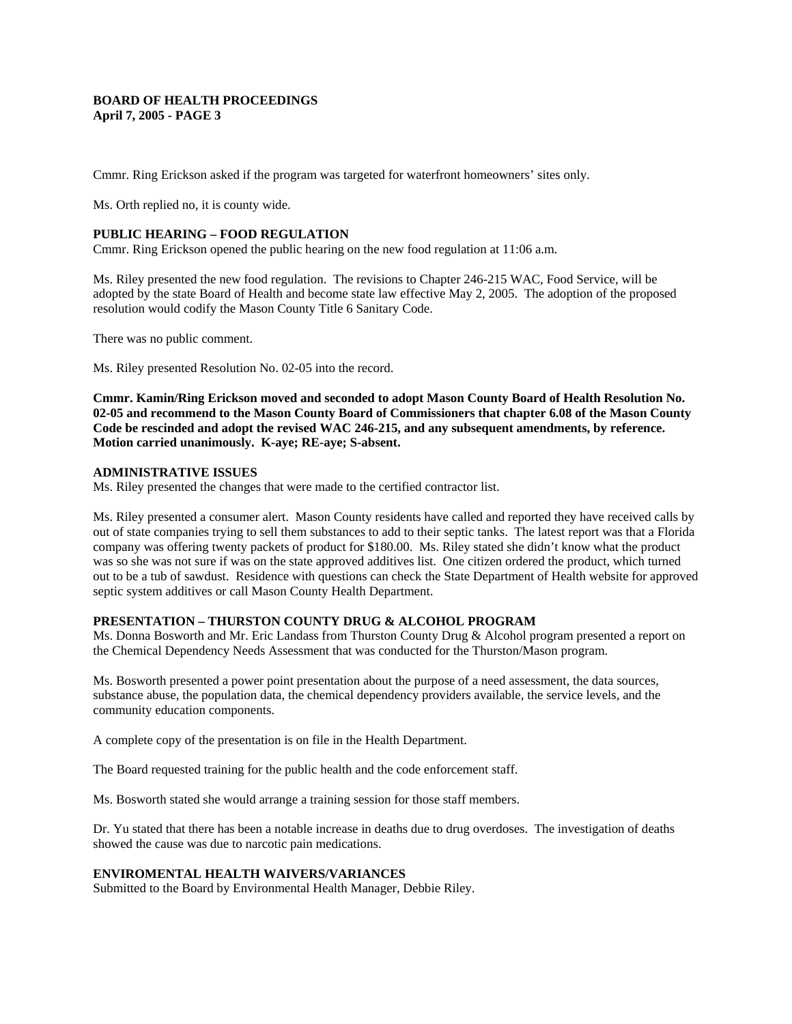### **BOARD OF HEALTH PROCEEDINGS April 7, 2005 - PAGE 3**

Cmmr. Ring Erickson asked if the program was targeted for waterfront homeowners' sites only.

Ms. Orth replied no, it is county wide.

### **PUBLIC HEARING – FOOD REGULATION**

Cmmr. Ring Erickson opened the public hearing on the new food regulation at 11:06 a.m.

Ms. Riley presented the new food regulation. The revisions to Chapter 246-215 WAC, Food Service, will be adopted by the state Board of Health and become state law effective May 2, 2005. The adoption of the proposed resolution would codify the Mason County Title 6 Sanitary Code.

There was no public comment.

Ms. Riley presented Resolution No. 02-05 into the record.

**Cmmr. Kamin/Ring Erickson moved and seconded to adopt Mason County Board of Health Resolution No. 02-05 and recommend to the Mason County Board of Commissioners that chapter 6.08 of the Mason County Code be rescinded and adopt the revised WAC 246-215, and any subsequent amendments, by reference. Motion carried unanimously. K-aye; RE-aye; S-absent.** 

### **ADMINISTRATIVE ISSUES**

Ms. Riley presented the changes that were made to the certified contractor list.

Ms. Riley presented a consumer alert. Mason County residents have called and reported they have received calls by out of state companies trying to sell them substances to add to their septic tanks. The latest report was that a Florida company was offering twenty packets of product for \$180.00. Ms. Riley stated she didn't know what the product was so she was not sure if was on the state approved additives list. One citizen ordered the product, which turned out to be a tub of sawdust. Residence with questions can check the State Department of Health website for approved septic system additives or call Mason County Health Department.

#### **PRESENTATION – THURSTON COUNTY DRUG & ALCOHOL PROGRAM**

Ms. Donna Bosworth and Mr. Eric Landass from Thurston County Drug & Alcohol program presented a report on the Chemical Dependency Needs Assessment that was conducted for the Thurston/Mason program.

Ms. Bosworth presented a power point presentation about the purpose of a need assessment, the data sources, substance abuse, the population data, the chemical dependency providers available, the service levels, and the community education components.

A complete copy of the presentation is on file in the Health Department.

The Board requested training for the public health and the code enforcement staff.

Ms. Bosworth stated she would arrange a training session for those staff members.

Dr. Yu stated that there has been a notable increase in deaths due to drug overdoses. The investigation of deaths showed the cause was due to narcotic pain medications.

#### **ENVIROMENTAL HEALTH WAIVERS/VARIANCES**

Submitted to the Board by Environmental Health Manager, Debbie Riley.